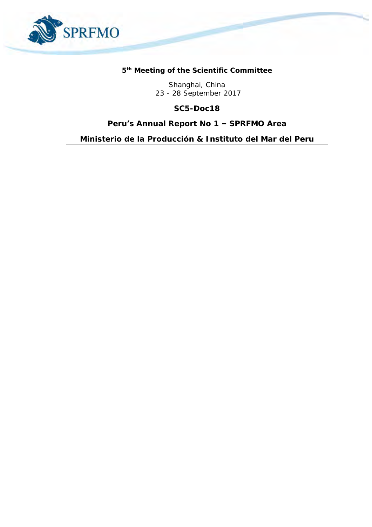

**5 th Meeting of the Scientific Committee** 

Shanghai, China 23 - 28 September 2017

**SC5-Doc18**

**Peru's Annual Report No 1 – SPRFMO Area**

*Ministerio de la Producción & Instituto del Mar del Peru*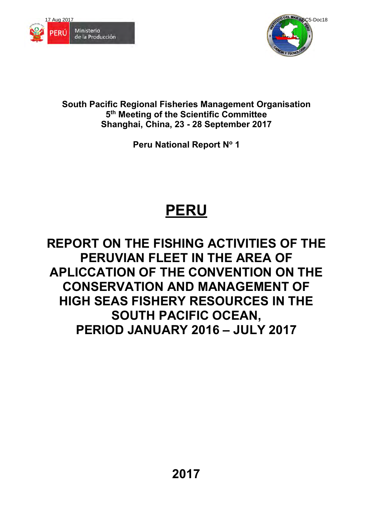



**South Pacific Regional Fisheries Management Organisation 5 th Meeting of the Scientific Committee Shanghai, China, 23 - 28 September 2017** 

**Peru National Report N<sup>o</sup> 1** 

# **PERU**

# **REPORT ON THE FISHING ACTIVITIES OF THE PERUVIAN FLEET IN THE AREA OF APLICCATION OF THE CONVENTION ON THE CONSERVATION AND MANAGEMENT OF HIGH SEAS FISHERY RESOURCES IN THE SOUTH PACIFIC OCEAN, PERIOD JANUARY 2016 – JULY 2017**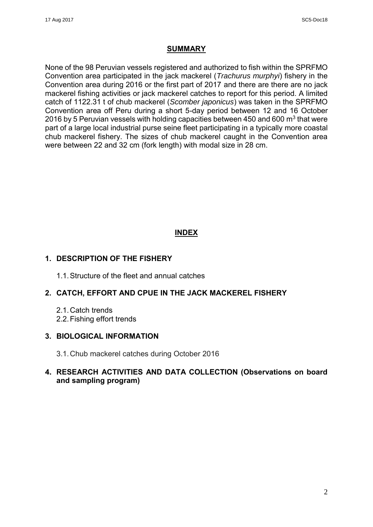#### **SUMMARY**

None of the 98 Peruvian vessels registered and authorized to fish within the SPRFMO Convention area participated in the jack mackerel (*Trachurus murphyi*) fishery in the Convention area during 2016 or the first part of 2017 and there are there are no jack mackerel fishing activities or jack mackerel catches to report for this period. A limited catch of 1122.31 t of chub mackerel (*Scomber japonicus*) was taken in the SPRFMO Convention area off Peru during a short 5-day period between 12 and 16 October 2016 by 5 Peruvian vessels with holding capacities between 450 and 600  $\mathrm{m}^{3}$  that were part of a large local industrial purse seine fleet participating in a typically more coastal chub mackerel fishery. The sizes of chub mackerel caught in the Convention area were between 22 and 32 cm (fork length) with modal size in 28 cm.

# **INDEX**

#### **1. DESCRIPTION OF THE FISHERY**

1.1. Structure of the fleet and annual catches

# **2. CATCH, EFFORT AND CPUE IN THE JACK MACKEREL FISHERY**

- 2.1. Catch trends
- 2.2. Fishing effort trends

#### **3. BIOLOGICAL INFORMATION**

3.1. Chub mackerel catches during October 2016

# **4. RESEARCH ACTIVITIES AND DATA COLLECTION (Observations on board and sampling program)**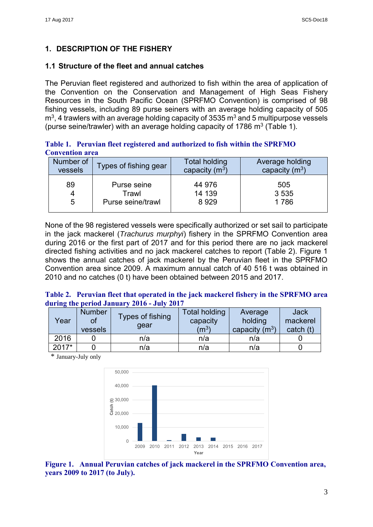# **1. DESCRIPTION OF THE FISHERY**

#### **1.1 Structure of the fleet and annual catches**

The Peruvian fleet registered and authorized to fish within the area of application of the Convention on the Conservation and Management of High Seas Fishery Resources in the South Pacific Ocean (SPRFMO Convention) is comprised of 98 fishing vessels, including 89 purse seiners with an average holding capacity of 505 m $^3$ , 4 trawlers with an average holding capacity of 3535 m $^3$  and 5 multipurpose vessels (purse seine/trawler) with an average holding capacity of 1786  $\textsf{m}^{3}$  (Table 1).

**Table 1. Peruvian fleet registered and authorized to fish within the SPRFMO Convention area** 

| Number of | Types of fishing gear | <b>Total holding</b> | <b>Average holding</b> |
|-----------|-----------------------|----------------------|------------------------|
| vessels   |                       | capacity $(m^3)$     | capacity $(m^3)$       |
| 89        | Purse seine           | 44 976               | 505                    |
| 4         | Trawl                 | 14 139               | 3 5 3 5                |
| 5         | Purse seine/trawl     | 8929                 | 1786                   |

None of the 98 registered vessels were specifically authorized or set sail to participate in the jack mackerel (*Trachurus murphyi*) fishery in the SPRFMO Convention area during 2016 or the first part of 2017 and for this period there are no jack mackerel directed fishing activities and no jack mackerel catches to report (Table 2). Figure 1 shows the annual catches of jack mackerel by the Peruvian fleet in the SPRFMO Convention area since 2009. A maximum annual catch of 40 516 t was obtained in 2010 and no catches (0 t) have been obtained between 2015 and 2017.

#### **Table 2. Peruvian fleet that operated in the jack mackerel fishery in the SPRFMO area during the period January 2016 - July 2017**

| Year    | <b>Number</b><br>OI<br>vessels | <b>Types of fishing</b><br>dear | <b>Total holding</b><br>capacity<br>$\rm (m^3)$ | Average<br>holding<br>capacity $(m^3)$ | <b>Jack</b><br>mackerel<br>catch (t) |
|---------|--------------------------------|---------------------------------|-------------------------------------------------|----------------------------------------|--------------------------------------|
| 2016    |                                | n/a                             | n/a                                             | n/a                                    |                                      |
| $2017*$ |                                | n/a                             | n/a                                             | n/a                                    |                                      |

\* January-July only



**Figure 1. Annual Peruvian catches of jack mackerel in the SPRFMO Convention area, years 2009 to 2017 (to July).**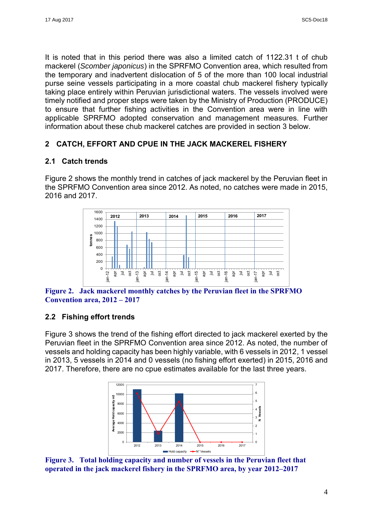It is noted that in this period there was also a limited catch of 1122.31 t of chub mackerel (*Scomber japonicus*) in the SPRFMO Convention area, which resulted from the temporary and inadvertent dislocation of 5 of the more than 100 local industrial purse seine vessels participating in a more coastal chub mackerel fishery typically taking place entirely within Peruvian jurisdictional waters. The vessels involved were timely notified and proper steps were taken by the Ministry of Production (PRODUCE) to ensure that further fishing activities in the Convention area were in line with applicable SPRFMO adopted conservation and management measures. Further information about these chub mackerel catches are provided in section 3 below.

# **2 CATCH, EFFORT AND CPUE IN THE JACK MACKEREL FISHERY**

# **2.1 Catch trends**

Figure 2 shows the monthly trend in catches of jack mackerel by the Peruvian fleet in the SPRFMO Convention area since 2012. As noted, no catches were made in 2015, 2016 and 2017.



**Figure 2. Jack mackerel monthly catches by the Peruvian fleet in the SPRFMO Convention area, 2012 – 2017**

# **2.2 Fishing effort trends**

Figure 3 shows the trend of the fishing effort directed to jack mackerel exerted by the Peruvian fleet in the SPRFMO Convention area since 2012. As noted, the number of vessels and holding capacity has been highly variable, with 6 vessels in 2012, 1 vessel in 2013, 5 vessels in 2014 and 0 vessels (no fishing effort exerted) in 2015, 2016 and 2017. Therefore, there are no cpue estimates available for the last three years.



**Figure 3. Total holding capacity and number of vessels in the Peruvian fleet that operated in the jack mackerel fishery in the SPRFMO area, by year 2012–2017**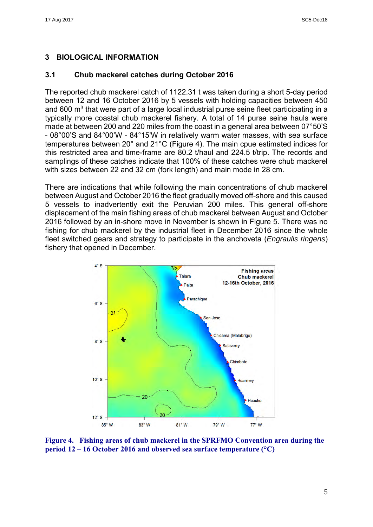# **3 BIOLOGICAL INFORMATION**

### **3.1 Chub mackerel catches during October 2016**

The reported chub mackerel catch of 1122.31 t was taken during a short 5-day period between 12 and 16 October 2016 by 5 vessels with holding capacities between 450 and 600  $\mathrm{m}^{3}$  that were part of a large local industrial purse seine fleet participating in a typically more coastal chub mackerel fishery. A total of 14 purse seine hauls were made at between 200 and 220 miles from the coast in a general area between 07°50'S - 08°00'S and 84°00'W - 84°15'W in relatively warm water masses, with sea surface temperatures between 20° and 21°C (Figure 4). The main cpue estimated indices for this restricted area and time-frame are 80.2 t/haul and 224.5 t/trip. The records and samplings of these catches indicate that 100% of these catches were chub mackerel with sizes between 22 and 32 cm (fork length) and main mode in 28 cm.

There are indications that while following the main concentrations of chub mackerel between August and October 2016 the fleet gradually moved off-shore and this caused 5 vessels to inadvertently exit the Peruvian 200 miles. This general off-shore displacement of the main fishing areas of chub mackerel between August and October 2016 followed by an in-shore move in November is shown in Figure 5. There was no fishing for chub mackerel by the industrial fleet in December 2016 since the whole fleet switched gears and strategy to participate in the anchoveta (*Engraulis ringens*) fishery that opened in December.



**Figure 4. Fishing areas of chub mackerel in the SPRFMO Convention area during the period 12 – 16 October 2016 and observed sea surface temperature (°C)**